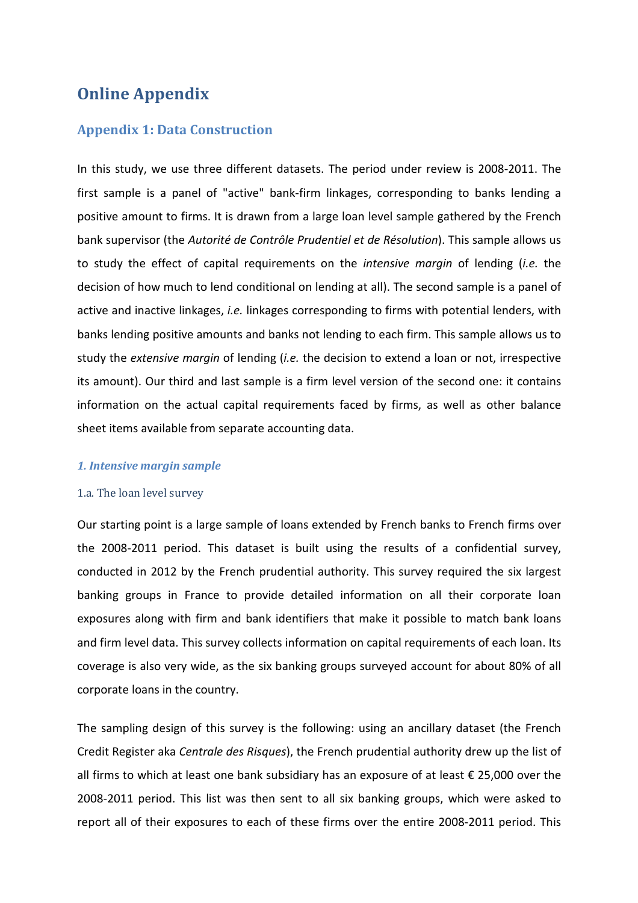# **Online Appendix**

### **Appendix 1: Data Construction**

In this study, we use three different datasets. The period under review is 2008-2011. The first sample is a panel of "active" bank-firm linkages, corresponding to banks lending a positive amount to firms. It is drawn from a large loan level sample gathered by the French bank supervisor (the *Autorité de Contrôle Prudentiel et de Résolution*). This sample allows us to study the effect of capital requirements on the *intensive margin* of lending (*i.e.* the decision of how much to lend conditional on lending at all). The second sample is a panel of active and inactive linkages, *i.e.* linkages corresponding to firms with potential lenders, with banks lending positive amounts and banks not lending to each firm. This sample allows us to study the *extensive margin* of lending (*i.e.* the decision to extend a loan or not, irrespective its amount). Our third and last sample is a firm level version of the second one: it contains information on the actual capital requirements faced by firms, as well as other balance sheet items available from separate accounting data.

#### *1. Intensive margin sample*

#### 1.a. The loan level survey

Our starting point is a large sample of loans extended by French banks to French firms over the 2008-2011 period. This dataset is built using the results of a confidential survey, conducted in 2012 by the French prudential authority. This survey required the six largest banking groups in France to provide detailed information on all their corporate loan exposures along with firm and bank identifiers that make it possible to match bank loans and firm level data. This survey collects information on capital requirements of each loan. Its coverage is also very wide, as the six banking groups surveyed account for about 80% of all corporate loans in the country.

The sampling design of this survey is the following: using an ancillary dataset (the French Credit Register aka *Centrale des Risques*), the French prudential authority drew up the list of all firms to which at least one bank subsidiary has an exposure of at least € 25,000 over the 2008-2011 period. This list was then sent to all six banking groups, which were asked to report all of their exposures to each of these firms over the entire 2008-2011 period. This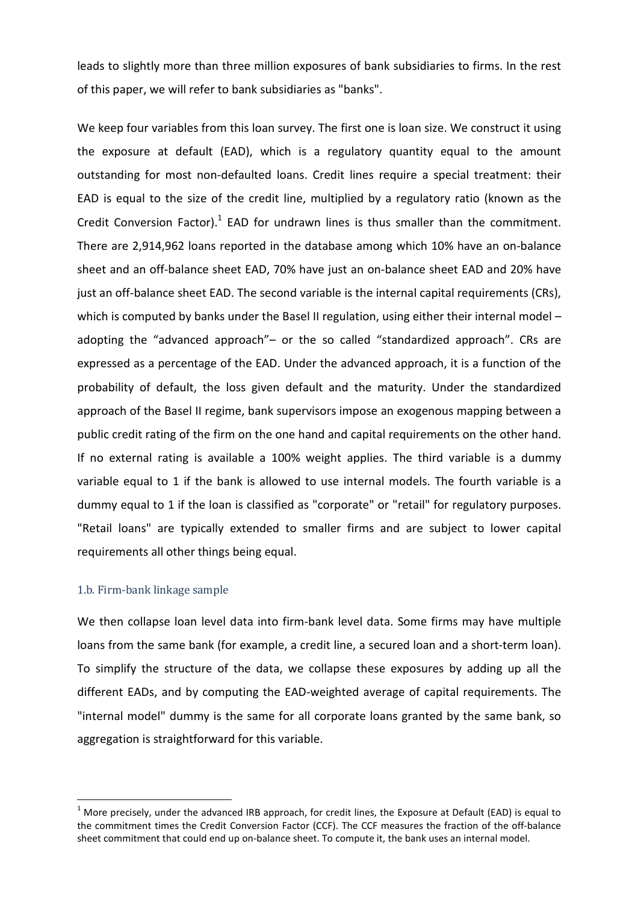leads to slightly more than three million exposures of bank subsidiaries to firms. In the rest of this paper, we will refer to bank subsidiaries as "banks".

We keep four variables from this loan survey. The first one is loan size. We construct it using the exposure at default (EAD), which is a regulatory quantity equal to the amount outstanding for most non-defaulted loans. Credit lines require a special treatment: their EAD is equal to the size of the credit line, multiplied by a regulatory ratio (known as the Credit Conversion Factor). $^1$  EAD for undrawn lines is thus smaller than the commitment. There are 2,914,962 loans reported in the database among which 10% have an on-balance sheet and an off-balance sheet EAD, 70% have just an on-balance sheet EAD and 20% have just an off-balance sheet EAD. The second variable is the internal capital requirements (CRs), which is computed by banks under the Basel II regulation, using either their internal model – adopting the "advanced approach"– or the so called "standardized approach". CRs are expressed as a percentage of the EAD. Under the advanced approach, it is a function of the probability of default, the loss given default and the maturity. Under the standardized approach of the Basel II regime, bank supervisors impose an exogenous mapping between a public credit rating of the firm on the one hand and capital requirements on the other hand. If no external rating is available a 100% weight applies. The third variable is a dummy variable equal to 1 if the bank is allowed to use internal models. The fourth variable is a dummy equal to 1 if the loan is classified as "corporate" or "retail" for regulatory purposes. "Retail loans" are typically extended to smaller firms and are subject to lower capital requirements all other things being equal.

#### 1.b. Firm-bank linkage sample

l

We then collapse loan level data into firm-bank level data. Some firms may have multiple loans from the same bank (for example, a credit line, a secured loan and a short-term loan). To simplify the structure of the data, we collapse these exposures by adding up all the different EADs, and by computing the EAD-weighted average of capital requirements. The "internal model" dummy is the same for all corporate loans granted by the same bank, so aggregation is straightforward for this variable.

 $^1$  More precisely, under the advanced IRB approach, for credit lines, the Exposure at Default (EAD) is equal to the commitment times the Credit Conversion Factor (CCF). The CCF measures the fraction of the off-balance sheet commitment that could end up on-balance sheet. To compute it, the bank uses an internal model.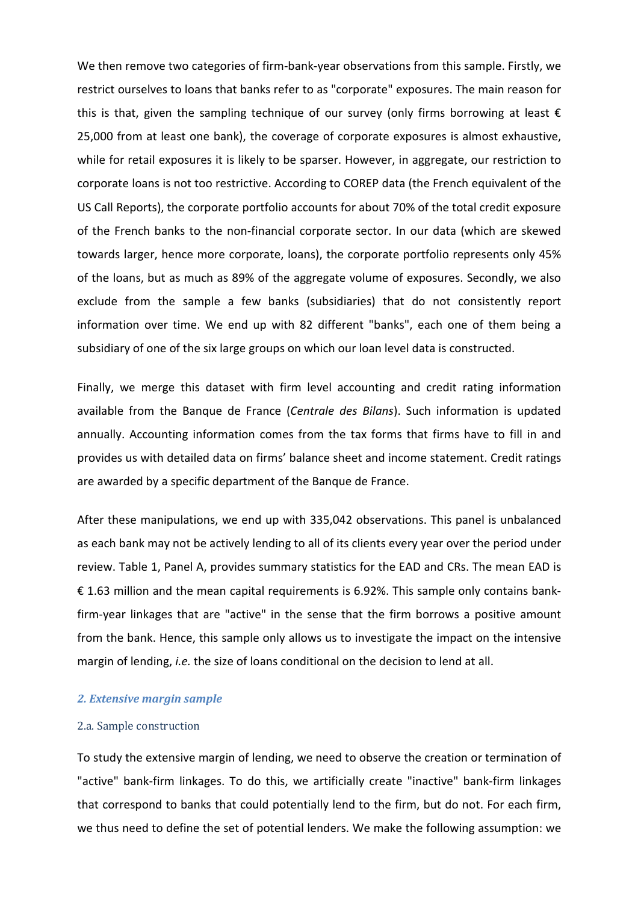We then remove two categories of firm-bank-year observations from this sample. Firstly, we restrict ourselves to loans that banks refer to as "corporate" exposures. The main reason for this is that, given the sampling technique of our survey (only firms borrowing at least  $\epsilon$ 25,000 from at least one bank), the coverage of corporate exposures is almost exhaustive, while for retail exposures it is likely to be sparser. However, in aggregate, our restriction to corporate loans is not too restrictive. According to COREP data (the French equivalent of the US Call Reports), the corporate portfolio accounts for about 70% of the total credit exposure of the French banks to the non-financial corporate sector. In our data (which are skewed towards larger, hence more corporate, loans), the corporate portfolio represents only 45% of the loans, but as much as 89% of the aggregate volume of exposures. Secondly, we also exclude from the sample a few banks (subsidiaries) that do not consistently report information over time. We end up with 82 different "banks", each one of them being a subsidiary of one of the six large groups on which our loan level data is constructed.

Finally, we merge this dataset with firm level accounting and credit rating information available from the Banque de France (*Centrale des Bilans*). Such information is updated annually. Accounting information comes from the tax forms that firms have to fill in and provides us with detailed data on firms' balance sheet and income statement. Credit ratings are awarded by a specific department of the Banque de France.

After these manipulations, we end up with 335,042 observations. This panel is unbalanced as each bank may not be actively lending to all of its clients every year over the period under review. Table 1, Panel A, provides summary statistics for the EAD and CRs. The mean EAD is € 1.63 million and the mean capital requirements is 6.92%. This sample only contains bankfirm-year linkages that are "active" in the sense that the firm borrows a positive amount from the bank. Hence, this sample only allows us to investigate the impact on the intensive margin of lending, *i.e.* the size of loans conditional on the decision to lend at all.

#### *2. Extensive margin sample*

#### 2.a. Sample construction

To study the extensive margin of lending, we need to observe the creation or termination of "active" bank-firm linkages. To do this, we artificially create "inactive" bank-firm linkages that correspond to banks that could potentially lend to the firm, but do not. For each firm, we thus need to define the set of potential lenders. We make the following assumption: we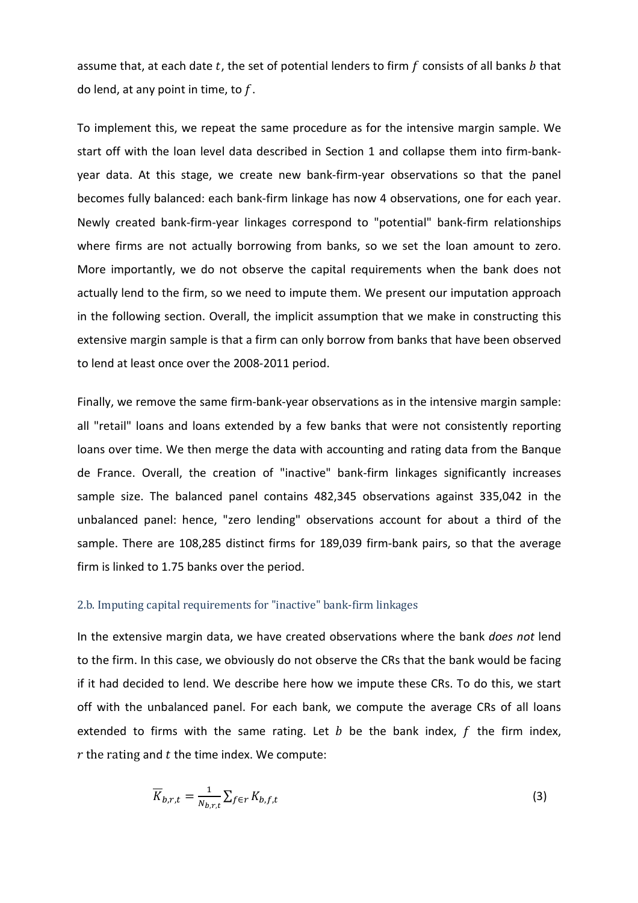assume that, at each date t, the set of potential lenders to firm  $f$  consists of all banks  $b$  that do lend, at any point in time, to  $f$ .

To implement this, we repeat the same procedure as for the intensive margin sample. We start off with the loan level data described in Section 1 and collapse them into firm-bankyear data. At this stage, we create new bank-firm-year observations so that the panel becomes fully balanced: each bank-firm linkage has now 4 observations, one for each year. Newly created bank-firm-year linkages correspond to "potential" bank-firm relationships where firms are not actually borrowing from banks, so we set the loan amount to zero. More importantly, we do not observe the capital requirements when the bank does not actually lend to the firm, so we need to impute them. We present our imputation approach in the following section. Overall, the implicit assumption that we make in constructing this extensive margin sample is that a firm can only borrow from banks that have been observed to lend at least once over the 2008-2011 period.

Finally, we remove the same firm-bank-year observations as in the intensive margin sample: all "retail" loans and loans extended by a few banks that were not consistently reporting loans over time. We then merge the data with accounting and rating data from the Banque de France. Overall, the creation of "inactive" bank-firm linkages significantly increases sample size. The balanced panel contains 482,345 observations against 335,042 in the unbalanced panel: hence, "zero lending" observations account for about a third of the sample. There are 108,285 distinct firms for 189,039 firm-bank pairs, so that the average firm is linked to 1.75 banks over the period.

#### 2.b. Imputing capital requirements for "inactive" bank-firm linkages

In the extensive margin data, we have created observations where the bank *does not* lend to the firm. In this case, we obviously do not observe the CRs that the bank would be facing if it had decided to lend. We describe here how we impute these CRs. To do this, we start off with the unbalanced panel. For each bank, we compute the average CRs of all loans extended to firms with the same rating. Let  $b$  be the bank index,  $f$  the firm index,  $r$  the rating and  $t$  the time index. We compute:

$$
\overline{K}_{b,r,t} = \frac{1}{N_{b,r,t}} \sum_{f \in r} K_{b,f,t} \tag{3}
$$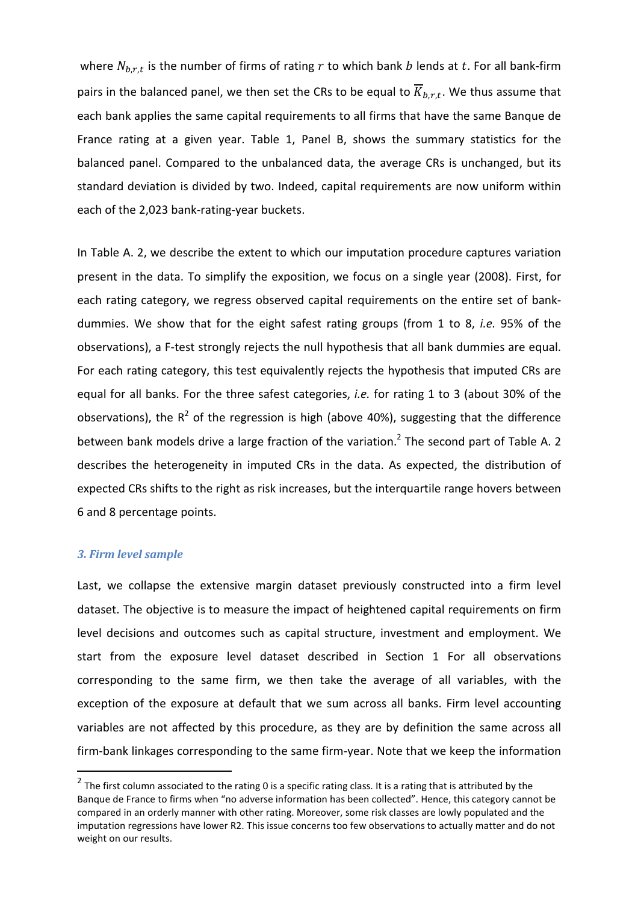where  $N_{h.r.t.}$  is the number of firms of rating r to which bank b lends at t. For all bank-firm pairs in the balanced panel, we then set the CRs to be equal to  $\overline{K}_{h,r,t}$ . We thus assume that each bank applies the same capital requirements to all firms that have the same Banque de France rating at a given year. Table 1, Panel B, shows the summary statistics for the balanced panel. Compared to the unbalanced data, the average CRs is unchanged, but its standard deviation is divided by two. Indeed, capital requirements are now uniform within each of the 2,023 bank-rating-year buckets.

In Table A. 2, we describe the extent to which our imputation procedure captures variation present in the data. To simplify the exposition, we focus on a single year (2008). First, for each rating category, we regress observed capital requirements on the entire set of bankdummies. We show that for the eight safest rating groups (from 1 to 8, *i.e.* 95% of the observations), a F-test strongly rejects the null hypothesis that all bank dummies are equal. For each rating category, this test equivalently rejects the hypothesis that imputed CRs are equal for all banks. For the three safest categories, *i.e.* for rating 1 to 3 (about 30% of the observations), the  $R^2$  of the regression is high (above 40%), suggesting that the difference between bank models drive a large fraction of the variation.<sup>2</sup> The second part of Table A. 2 describes the heterogeneity in imputed CRs in the data. As expected, the distribution of expected CRs shifts to the right as risk increases, but the interquartile range hovers between 6 and 8 percentage points.

#### *3. Firm level sample*

 $\overline{a}$ 

Last, we collapse the extensive margin dataset previously constructed into a firm level dataset. The objective is to measure the impact of heightened capital requirements on firm level decisions and outcomes such as capital structure, investment and employment. We start from the exposure level dataset described in Section 1 For all observations corresponding to the same firm, we then take the average of all variables, with the exception of the exposure at default that we sum across all banks. Firm level accounting variables are not affected by this procedure, as they are by definition the same across all firm-bank linkages corresponding to the same firm-year. Note that we keep the information

<sup>&</sup>lt;sup>2</sup> The first column associated to the rating 0 is a specific rating class. It is a rating that is attributed by the Banque de France to firms when "no adverse information has been collected". Hence, this category cannot be compared in an orderly manner with other rating. Moreover, some risk classes are lowly populated and the imputation regressions have lower R2. This issue concerns too few observations to actually matter and do not weight on our results.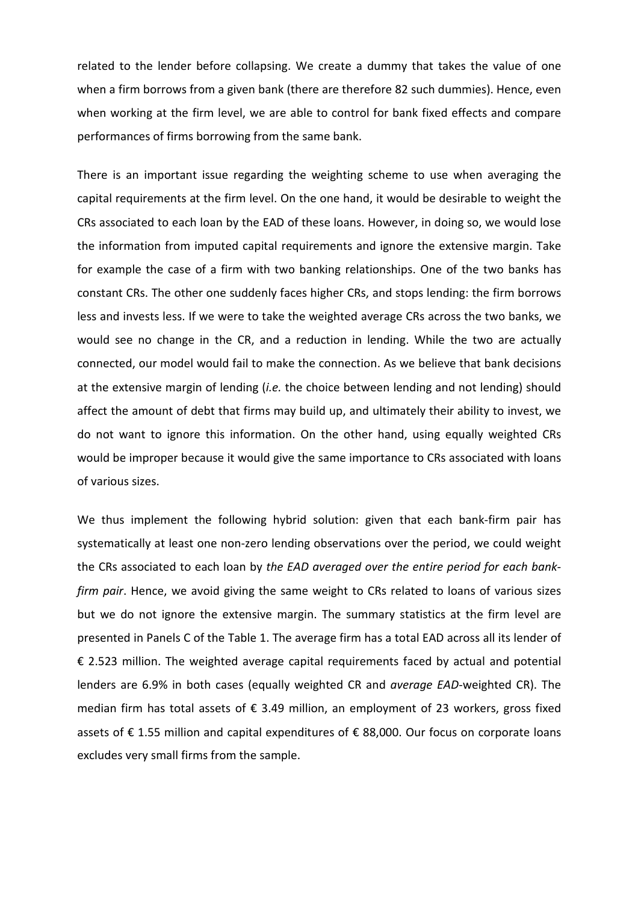related to the lender before collapsing. We create a dummy that takes the value of one when a firm borrows from a given bank (there are therefore 82 such dummies). Hence, even when working at the firm level, we are able to control for bank fixed effects and compare performances of firms borrowing from the same bank.

There is an important issue regarding the weighting scheme to use when averaging the capital requirements at the firm level. On the one hand, it would be desirable to weight the CRs associated to each loan by the EAD of these loans. However, in doing so, we would lose the information from imputed capital requirements and ignore the extensive margin. Take for example the case of a firm with two banking relationships. One of the two banks has constant CRs. The other one suddenly faces higher CRs, and stops lending: the firm borrows less and invests less. If we were to take the weighted average CRs across the two banks, we would see no change in the CR, and a reduction in lending. While the two are actually connected, our model would fail to make the connection. As we believe that bank decisions at the extensive margin of lending (*i.e.* the choice between lending and not lending) should affect the amount of debt that firms may build up, and ultimately their ability to invest, we do not want to ignore this information. On the other hand, using equally weighted CRs would be improper because it would give the same importance to CRs associated with loans of various sizes.

We thus implement the following hybrid solution: given that each bank-firm pair has systematically at least one non-zero lending observations over the period, we could weight the CRs associated to each loan by *the EAD averaged over the entire period for each bankfirm pair*. Hence, we avoid giving the same weight to CRs related to loans of various sizes but we do not ignore the extensive margin. The summary statistics at the firm level are presented in Panels C of the Table 1. The average firm has a total EAD across all its lender of € 2.523 million. The weighted average capital requirements faced by actual and potential lenders are 6.9% in both cases (equally weighted CR and *average EAD*-weighted CR). The median firm has total assets of  $\epsilon$  3.49 million, an employment of 23 workers, gross fixed assets of € 1.55 million and capital expenditures of € 88,000. Our focus on corporate loans excludes very small firms from the sample.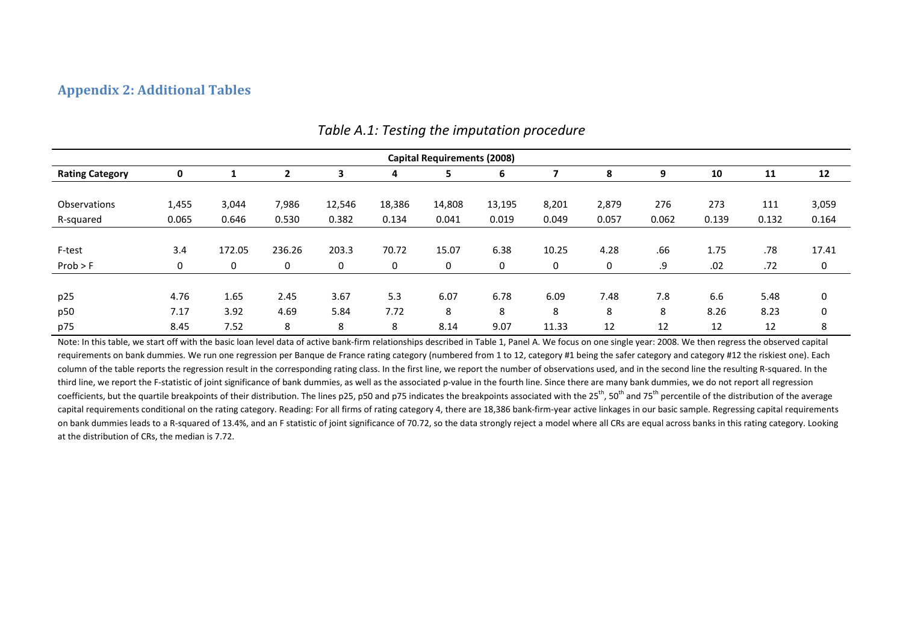## **Appendix 2: Additional Tables**

|                        | <b>Capital Requirements (2008)</b> |        |        |        |        |        |        |       |       |       |       |       |       |
|------------------------|------------------------------------|--------|--------|--------|--------|--------|--------|-------|-------|-------|-------|-------|-------|
| <b>Rating Category</b> | 0                                  |        |        | 3      | 4      | 5      | 6      |       | 8     | 9     | 10    | 11    | 12    |
|                        |                                    |        |        |        |        |        |        |       |       |       |       |       |       |
| Observations           | 1,455                              | 3,044  | 7,986  | 12,546 | 18,386 | 14,808 | 13,195 | 8,201 | 2,879 | 276   | 273   | 111   | 3,059 |
| R-squared              | 0.065                              | 0.646  | 0.530  | 0.382  | 0.134  | 0.041  | 0.019  | 0.049 | 0.057 | 0.062 | 0.139 | 0.132 | 0.164 |
|                        |                                    |        |        |        |        |        |        |       |       |       |       |       |       |
| F-test                 | 3.4                                | 172.05 | 236.26 | 203.3  | 70.72  | 15.07  | 6.38   | 10.25 | 4.28  | .66   | 1.75  | .78   | 17.41 |
| Prob > F               | 0                                  | 0      | 0      | 0      | 0      | 0      | 0      | 0     | 0     | .9    | .02   | .72   | 0     |
|                        |                                    |        |        |        |        |        |        |       |       |       |       |       |       |
| p25                    | 4.76                               | 1.65   | 2.45   | 3.67   | 5.3    | 6.07   | 6.78   | 6.09  | 7.48  | 7.8   | 6.6   | 5.48  | 0     |
| p50                    | 7.17                               | 3.92   | 4.69   | 5.84   | 7.72   | 8      | 8      | 8     | 8     | 8     | 8.26  | 8.23  | 0     |
| p75                    | 8.45                               | 7.52   | 8      | 8      | 8      | 8.14   | 9.07   | 11.33 | 12    | 12    | 12    | 12    | 8     |

### *Table A.1: Testing the imputation procedure*

Note: In this table, we start off with the basic loan level data of active bank-firm relationships described in Table 1, Panel A. We focus on one single year: 2008. We then regress the observed capital requirements on bank dummies. We run one regression per Banque de France rating category (numbered from 1 to 12, category #1 being the safer category and category #12 the riskiest one). Each column of the table reports the regression result in the corresponding rating class. In the first line, we report the number of observations used, and in the second line the resulting R-squared. In the third line, we report the F-statistic of joint significance of bank dummies, as well as the associated p-value in the fourth line. Since there are many bank dummies, we do not report all regression coefficients, but the quartile breakpoints of their distribution. The lines p25, p50 and p75 indicates the breakpoints associated with the 25<sup>th</sup>, 50<sup>th</sup> and 75<sup>th</sup> percentile of the distribution of the average capital requirements conditional on the rating category. Reading: For all firms of rating category 4, there are 18,386 bank-firm-year active linkages in our basic sample. Regressing capital requirements on bank dummies leads to a R-squared of 13.4%, and an F statistic of joint significance of 70.72, so the data strongly reject a model where all CRs are equal across banks in this rating category. Looking at the distribution of CRs, the median is 7.72.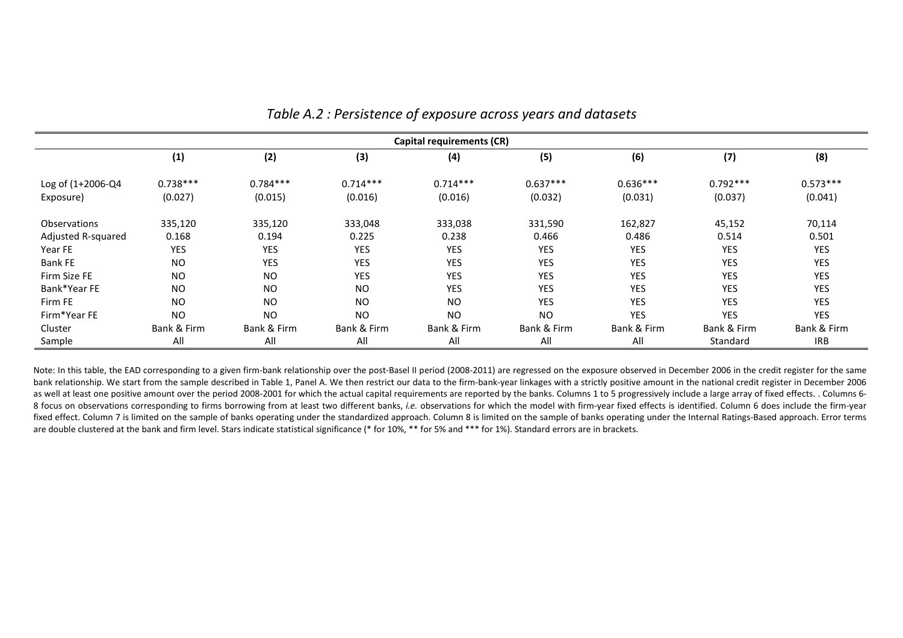|                     | Capital requirements (CR) |             |                |             |             |             |             |             |  |  |  |  |
|---------------------|---------------------------|-------------|----------------|-------------|-------------|-------------|-------------|-------------|--|--|--|--|
|                     | (1)                       | (2)         | (3)            | (4)         | (5)         | (6)         | (7)         | (8)         |  |  |  |  |
| Log of (1+2006-Q4   | $0.738***$                | $0.784***$  | $0.714***$     | $0.714***$  | $0.637***$  | $0.636***$  | $0.792***$  | $0.573***$  |  |  |  |  |
| Exposure)           | (0.027)                   | (0.015)     | (0.016)        | (0.016)     | (0.032)     | (0.031)     | (0.037)     | (0.041)     |  |  |  |  |
| <b>Observations</b> | 335,120                   | 335,120     | 333,048        | 333,038     | 331,590     | 162,827     | 45,152      | 70,114      |  |  |  |  |
| Adjusted R-squared  | 0.168                     | 0.194       | 0.225          | 0.238       | 0.466       | 0.486       | 0.514       | 0.501       |  |  |  |  |
| Year FE             | YES                       | <b>YES</b>  | <b>YES</b>     | YES         | YES         | <b>YES</b>  | <b>YES</b>  | <b>YES</b>  |  |  |  |  |
| Bank FE             | <b>NO</b>                 | <b>YES</b>  | <b>YES</b>     | <b>YES</b>  | YES         | <b>YES</b>  | <b>YES</b>  | <b>YES</b>  |  |  |  |  |
| Firm Size FE        | <b>NO</b>                 | <b>NO</b>   | <b>YES</b>     | <b>YES</b>  | <b>YES</b>  | <b>YES</b>  | <b>YES</b>  | <b>YES</b>  |  |  |  |  |
| Bank*Year FE        | <b>NO</b>                 | <b>NO</b>   | N <sub>O</sub> | <b>YES</b>  | <b>YES</b>  | <b>YES</b>  | <b>YES</b>  | <b>YES</b>  |  |  |  |  |
| Firm FE             | <b>NO</b>                 | <b>NO</b>   | N <sub>O</sub> | <b>NO</b>   | YES         | <b>YES</b>  | <b>YES</b>  | <b>YES</b>  |  |  |  |  |
| Firm*Year FE        | <b>NO</b>                 | <b>NO</b>   | N <sub>O</sub> | <b>NO</b>   | <b>NO</b>   | YES         | <b>YES</b>  | YES         |  |  |  |  |
| Cluster             | Bank & Firm               | Bank & Firm | Bank & Firm    | Bank & Firm | Bank & Firm | Bank & Firm | Bank & Firm | Bank & Firm |  |  |  |  |
| Sample              | All                       | All         | All            | All         | All         | All         | Standard    | <b>IRB</b>  |  |  |  |  |

# *Table A.2 : Persistence of exposure across years and datasets*

Note: In this table, the EAD corresponding to a given firm-bank relationship over the post-Basel II period (2008-2011) are regressed on the exposure observed in December 2006 in the credit register for the same bank relationship. We start from the sample described in Table 1, Panel A. We then restrict our data to the firm-bank-year linkages with a strictly positive amount in the national credit register in December 2006 as well at least one positive amount over the period 2008-2001 for which the actual capital requirements are reported by the banks. Columns 1 to 5 progressively include a large array of fixed effects. . Columns 6-8 focus on observations corresponding to firms borrowing from at least two different banks, *i.e.* observations for which the model with firm-year fixed effects is identified. Column 6 does include the firm-year fixed effect. Column 7 is limited on the sample of banks operating under the standardized approach. Column 8 is limited on the sample of banks operating under the Internal Ratings-Based approach. Error terms are double clustered at the bank and firm level. Stars indicate statistical significance (\* for 10%, \*\* for 5% and \*\*\* for 1%). Standard errors are in brackets.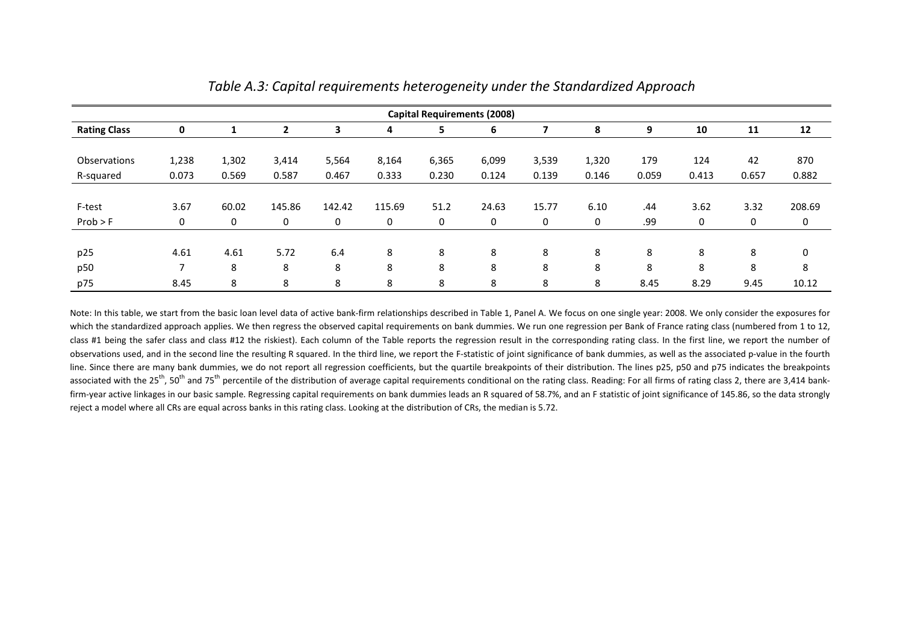|                     | <b>Capital Requirements (2008)</b> |       |        |        |        |       |       |       |       |       |       |       |             |
|---------------------|------------------------------------|-------|--------|--------|--------|-------|-------|-------|-------|-------|-------|-------|-------------|
| <b>Rating Class</b> | 0                                  |       | 2      | 3      | 4      | 5     | 6     |       | 8     | 9     | 10    | 11    | 12          |
|                     |                                    |       |        |        |        |       |       |       |       |       |       |       |             |
| <b>Observations</b> | 1,238                              | 1,302 | 3,414  | 5,564  | 8,164  | 6,365 | 6,099 | 3,539 | 1,320 | 179   | 124   | 42    | 870         |
| R-squared           | 0.073                              | 0.569 | 0.587  | 0.467  | 0.333  | 0.230 | 0.124 | 0.139 | 0.146 | 0.059 | 0.413 | 0.657 | 0.882       |
|                     |                                    |       |        |        |        |       |       |       |       |       |       |       |             |
| F-test              | 3.67                               | 60.02 | 145.86 | 142.42 | 115.69 | 51.2  | 24.63 | 15.77 | 6.10  | .44   | 3.62  | 3.32  | 208.69      |
| Prob > F            | 0                                  | 0     | 0      | 0      | 0      | 0     | 0     | 0     | 0     | .99   | 0     | 0     | 0           |
|                     |                                    |       |        |        |        |       |       |       |       |       |       |       |             |
| p25                 | 4.61                               | 4.61  | 5.72   | 6.4    | 8      | 8     | 8     | 8     | 8     | 8     | 8     | 8     | $\mathbf 0$ |
| p50                 |                                    | 8     | 8      | 8      | 8      | 8     | 8     | 8     | 8     | 8     | 8     | 8     | 8           |
| p75                 | 8.45                               | 8     | 8      | 8      | 8      | 8     | 8     | 8     | 8     | 8.45  | 8.29  | 9.45  | 10.12       |

| Table A.3: Capital requirements heterogeneity under the Standardized Approach |
|-------------------------------------------------------------------------------|
|-------------------------------------------------------------------------------|

Note: In this table, we start from the basic loan level data of active bank-firm relationships described in Table 1, Panel A. We focus on one single year: 2008. We only consider the exposures for which the standardized approach applies. We then regress the observed capital requirements on bank dummies. We run one regression per Bank of France rating class (numbered from 1 to 12, class #1 being the safer class and class #12 the riskiest). Each column of the Table reports the regression result in the corresponding rating class. In the first line, we report the number of observations used, and in the second line the resulting R squared. In the third line, we report the F-statistic of joint significance of bank dummies, as well as the associated p-value in the fourth line. Since there are many bank dummies, we do not report all regression coefficients, but the quartile breakpoints of their distribution. The lines p25, p50 and p75 indicates the breakpoints associated with the 25<sup>th</sup>, 50<sup>th</sup> and 75<sup>th</sup> percentile of the distribution of average capital requirements conditional on the rating class. Reading: For all firms of rating class 2, there are 3,414 bankfirm-year active linkages in our basic sample. Regressing capital requirements on bank dummies leads an R squared of 58.7%, and an F statistic of joint significance of 145.86, so the data strongly reject a model where all CRs are equal across banks in this rating class. Looking at the distribution of CRs, the median is 5.72.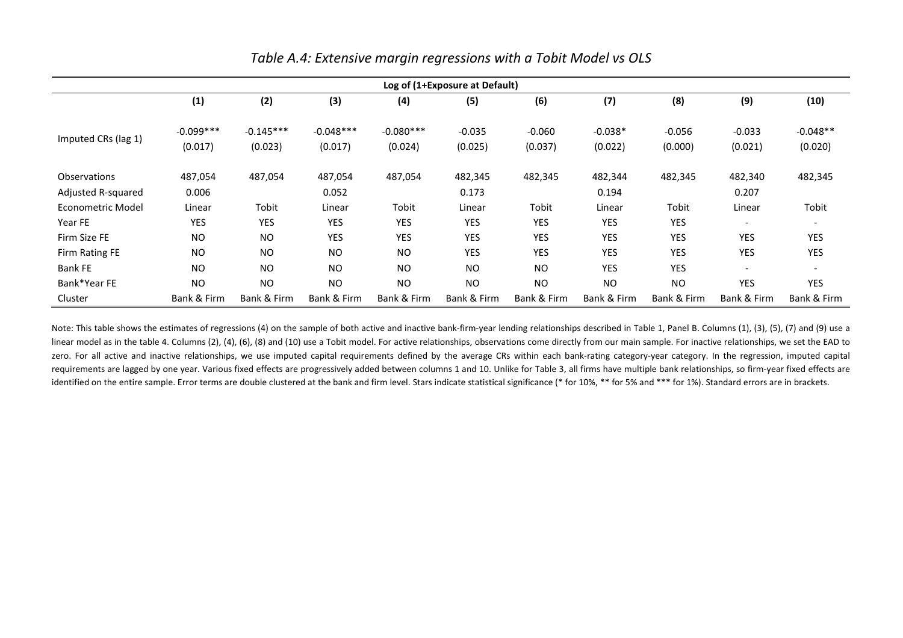|                     | Log of (1+Exposure at Default) |             |             |             |             |                |             |             |                          |             |  |  |
|---------------------|--------------------------------|-------------|-------------|-------------|-------------|----------------|-------------|-------------|--------------------------|-------------|--|--|
|                     | (1)                            | (2)         | (3)         | (4)         | (5)         | (6)            | (7)         | (8)         | (9)                      | (10)        |  |  |
|                     | $-0.099***$                    | $-0.145***$ | $-0.048***$ | $-0.080***$ | $-0.035$    | $-0.060$       | $-0.038*$   | $-0.056$    | $-0.033$                 | $-0.048**$  |  |  |
| Imputed CRs (lag 1) | (0.017)                        | (0.023)     | (0.017)     | (0.024)     | (0.025)     | (0.037)        | (0.022)     | (0.000)     | (0.021)                  | (0.020)     |  |  |
| <b>Observations</b> | 487,054                        | 487,054     | 487,054     | 487,054     | 482,345     | 482,345        | 482,344     | 482,345     | 482,340                  | 482,345     |  |  |
| Adjusted R-squared  | 0.006                          |             | 0.052       |             | 0.173       |                | 0.194       |             | 0.207                    |             |  |  |
| Econometric Model   | Linear                         | Tobit       | Linear      | Tobit       | Linear      | Tobit          | Linear      | Tobit       | Linear                   | Tobit       |  |  |
| Year FE             | <b>YES</b>                     | <b>YES</b>  | YES         | <b>YES</b>  | YES         | <b>YES</b>     | <b>YES</b>  | YES         | $\overline{\phantom{a}}$ |             |  |  |
| Firm Size FE        | <b>NO</b>                      | NO.         | YES         | <b>YES</b>  | YES         | <b>YES</b>     | <b>YES</b>  | <b>YES</b>  | YES                      | YES         |  |  |
| Firm Rating FE      | <b>NO</b>                      | NO.         | NO          | <b>NO</b>   | YES         | YES            | <b>YES</b>  | <b>YES</b>  | YES                      | YES         |  |  |
| <b>Bank FE</b>      | N <sub>O</sub>                 | <b>NO</b>   | <b>NO</b>   | <b>NO</b>   | <b>NO</b>   | N <sub>O</sub> | <b>YES</b>  | <b>YES</b>  | $\overline{\phantom{a}}$ |             |  |  |
| Bank*Year FE        | <b>NO</b>                      | <b>NO</b>   | <b>NO</b>   | <b>NO</b>   | <b>NO</b>   | <b>NO</b>      | <b>NO</b>   | <b>NO</b>   | <b>YES</b>               | <b>YES</b>  |  |  |
| Cluster             | Bank & Firm                    | Bank & Firm | Bank & Firm | Bank & Firm | Bank & Firm | Bank & Firm    | Bank & Firm | Bank & Firm | Bank & Firm              | Bank & Firm |  |  |

# *Table A.4: Extensive margin regressions with a Tobit Model vs OLS*

Note: This table shows the estimates of regressions (4) on the sample of both active and inactive bank-firm-year lending relationships described in Table 1, Panel B. Columns (1), (3), (5), (7) and (9) use a linear model as in the table 4. Columns (2), (4), (6), (8) and (10) use a Tobit model. For active relationships, observations come directly from our main sample. For inactive relationships, we set the EAD to zero. For all active and inactive relationships, we use imputed capital requirements defined by the average CRs within each bank-rating category-year category. In the regression, imputed capital requirements are lagged by one year. Various fixed effects are progressively added between columns 1 and 10. Unlike for Table 3, all firms have multiple bank relationships, so firm-year fixed effects are identified on the entire sample. Error terms are double clustered at the bank and firm level. Stars indicate statistical significance (\* for 10%, \*\* for 5% and \*\*\* for 1%). Standard errors are in brackets.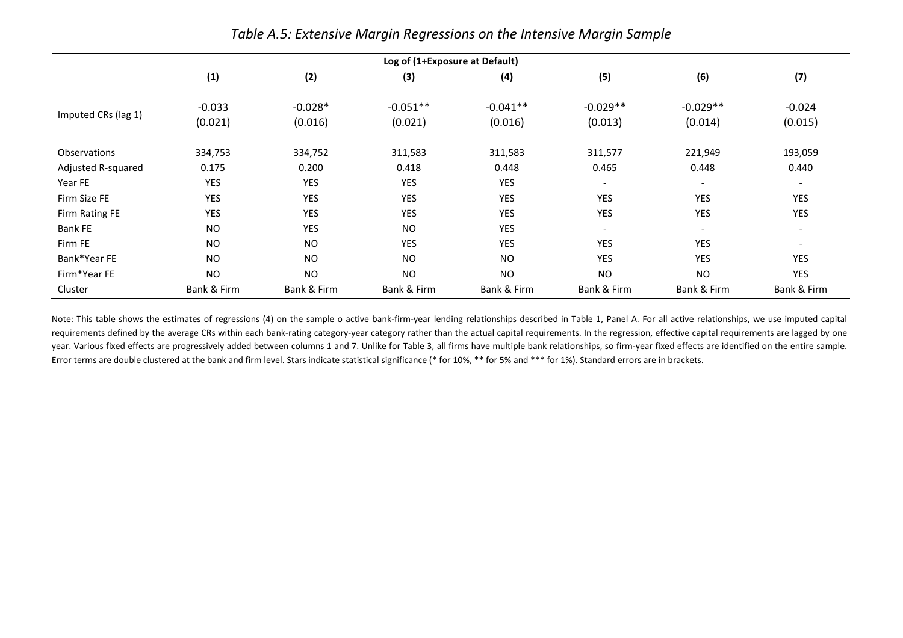|                     | Log of (1+Exposure at Default) |                      |                       |                       |                          |                          |                          |  |  |  |  |  |
|---------------------|--------------------------------|----------------------|-----------------------|-----------------------|--------------------------|--------------------------|--------------------------|--|--|--|--|--|
|                     | (1)                            | (2)                  | (3)                   | (4)                   | (5)                      | (6)                      | (7)                      |  |  |  |  |  |
| Imputed CRs (lag 1) | $-0.033$<br>(0.021)            | $-0.028*$<br>(0.016) | $-0.051**$<br>(0.021) | $-0.041**$<br>(0.016) | $-0.029**$<br>(0.013)    | $-0.029**$<br>(0.014)    | $-0.024$<br>(0.015)      |  |  |  |  |  |
| <b>Observations</b> | 334,753                        | 334,752              | 311,583               | 311,583               | 311,577                  | 221,949                  | 193,059                  |  |  |  |  |  |
| Adjusted R-squared  | 0.175                          | 0.200                | 0.418                 | 0.448                 | 0.465                    | 0.448                    | 0.440                    |  |  |  |  |  |
| Year FE             | <b>YES</b>                     | <b>YES</b>           | YES                   | <b>YES</b>            | $\overline{\phantom{a}}$ | $\overline{\phantom{a}}$ | $\overline{\phantom{a}}$ |  |  |  |  |  |
| Firm Size FE        | <b>YES</b>                     | YES                  | <b>YES</b>            | <b>YES</b>            | YES                      | <b>YES</b>               | <b>YES</b>               |  |  |  |  |  |
| Firm Rating FE      | YES                            | YES                  | <b>YES</b>            | <b>YES</b>            | YES                      | <b>YES</b>               | <b>YES</b>               |  |  |  |  |  |
| <b>Bank FE</b>      | <b>NO</b>                      | YES                  | <b>NO</b>             | <b>YES</b>            | $\overline{\phantom{0}}$ | $\overline{\phantom{a}}$ | $\sim$                   |  |  |  |  |  |
| Firm FE             | <b>NO</b>                      | <b>NO</b>            | <b>YES</b>            | <b>YES</b>            | <b>YES</b>               | <b>YES</b>               | $\overline{\phantom{a}}$ |  |  |  |  |  |
| Bank*Year FE        | <b>NO</b>                      | <b>NO</b>            | <b>NO</b>             | <b>NO</b>             | YES                      | YES                      | <b>YES</b>               |  |  |  |  |  |
| Firm*Year FE        | <b>NO</b>                      | <b>NO</b>            | <b>NO</b>             | <b>NO</b>             | <b>NO</b>                | <b>NO</b>                | <b>YES</b>               |  |  |  |  |  |
| Cluster             | Bank & Firm                    | Bank & Firm          | Bank & Firm           | Bank & Firm           | Bank & Firm              | Bank & Firm              | Bank & Firm              |  |  |  |  |  |

*Table A.5: Extensive Margin Regressions on the Intensive Margin Sample*

Note: This table shows the estimates of regressions (4) on the sample o active bank-firm-year lending relationships described in Table 1, Panel A. For all active relationships, we use imputed capital requirements defined by the average CRs within each bank-rating category-year category rather than the actual capital requirements. In the regression, effective capital requirements are lagged by one year. Various fixed effects are progressively added between columns 1 and 7. Unlike for Table 3, all firms have multiple bank relationships, so firm-year fixed effects are identified on the entire sample. Error terms are double clustered at the bank and firm level. Stars indicate statistical significance (\* for 10%, \*\* for 5% and \*\*\* for 1%). Standard errors are in brackets.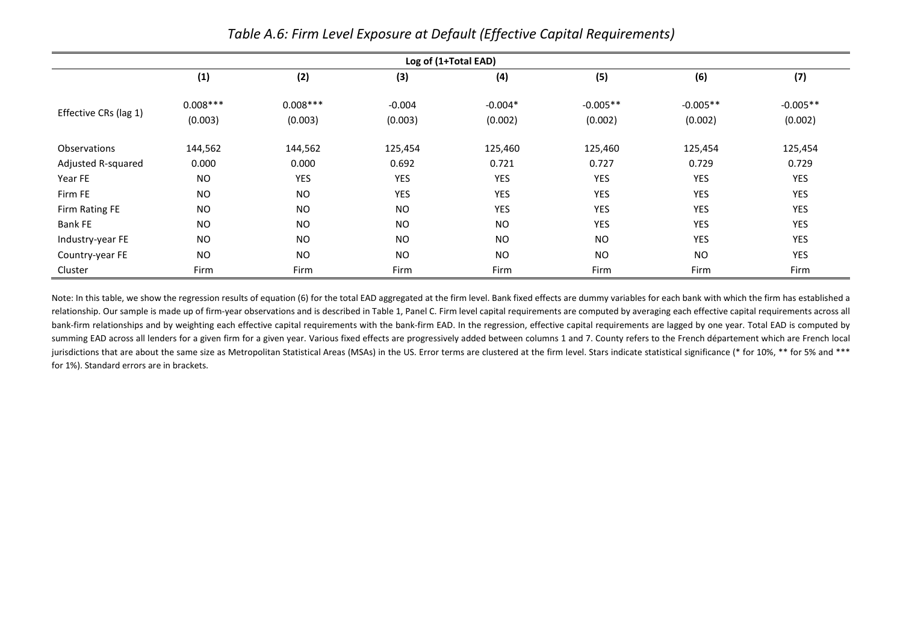|                       |            |            |            | Log of (1+Total EAD) |            |            |            |
|-----------------------|------------|------------|------------|----------------------|------------|------------|------------|
|                       | (1)        | (2)        | (3)        | (4)                  | (5)        | (6)        | (7)        |
|                       | $0.008***$ | $0.008***$ | $-0.004$   | $-0.004*$            | $-0.005**$ | $-0.005**$ | $-0.005**$ |
| Effective CRs (lag 1) | (0.003)    | (0.003)    | (0.003)    | (0.002)              | (0.002)    | (0.002)    | (0.002)    |
| <b>Observations</b>   | 144,562    | 144,562    | 125,454    | 125,460              | 125,460    | 125,454    | 125,454    |
| Adjusted R-squared    | 0.000      | 0.000      | 0.692      | 0.721                | 0.727      | 0.729      | 0.729      |
| Year FE               | NO.        | YES        | <b>YES</b> | YES                  | <b>YES</b> | YES        | YES        |
| Firm FE               | <b>NO</b>  | <b>NO</b>  | <b>YES</b> | <b>YES</b>           | <b>YES</b> | <b>YES</b> | <b>YES</b> |
| Firm Rating FE        | <b>NO</b>  | <b>NO</b>  | <b>NO</b>  | YES                  | YES        | <b>YES</b> | <b>YES</b> |
| <b>Bank FE</b>        | <b>NO</b>  | <b>NO</b>  | <b>NO</b>  | <b>NO</b>            | <b>YES</b> | <b>YES</b> | <b>YES</b> |
| Industry-year FE      | <b>NO</b>  | <b>NO</b>  | <b>NO</b>  | <b>NO</b>            | <b>NO</b>  | <b>YES</b> | <b>YES</b> |
| Country-year FE       | <b>NO</b>  | <b>NO</b>  | <b>NO</b>  | <b>NO</b>            | <b>NO</b>  | <b>NO</b>  | YES        |
| Cluster               | Firm       | Firm       | Firm       | Firm                 | Firm       | Firm       | Firm       |

*Table A.6: Firm Level Exposure at Default (Effective Capital Requirements)* 

Note: In this table, we show the regression results of equation (6) for the total EAD aggregated at the firm level. Bank fixed effects are dummy variables for each bank with which the firm has established a relationship. Our sample is made up of firm-year observations and is described in Table 1, Panel C. Firm level capital requirements are computed by averaging each effective capital requirements across all bank-firm relationships and by weighting each effective capital requirements with the bank-firm EAD. In the regression, effective capital requirements are lagged by one year. Total EAD is computed by summing EAD across all lenders for a given firm for a given year. Various fixed effects are progressively added between columns 1 and 7. County refers to the French département which are French local jurisdictions that are about the same size as Metropolitan Statistical Areas (MSAs) in the US. Error terms are clustered at the firm level. Stars indicate statistical significance (\* for 10%, \*\* for 5% and \*\*\* for 1%). Standard errors are in brackets.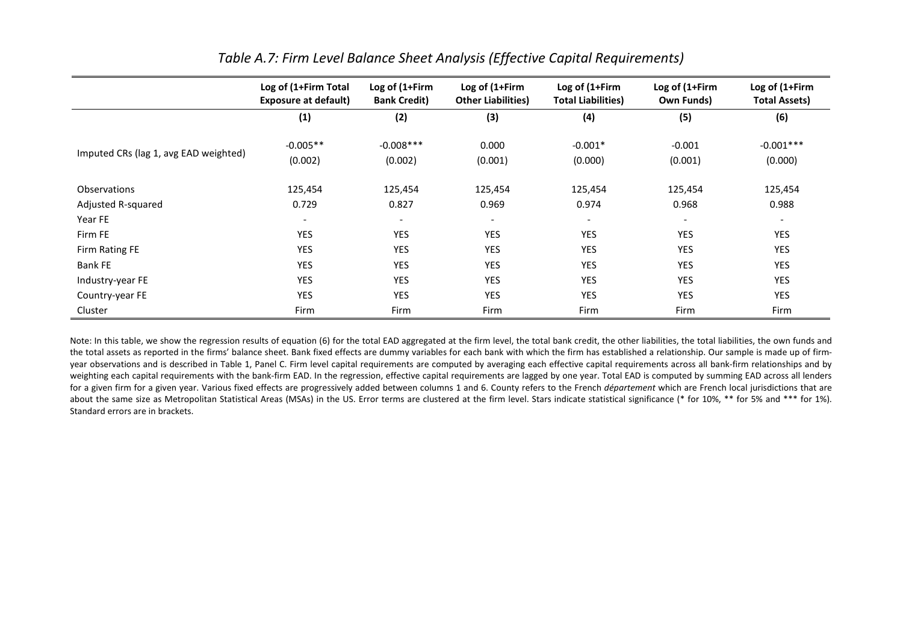|                                       | Log of (1+Firm Total<br><b>Exposure at default)</b> | Log of (1+Firm<br><b>Bank Credit)</b> | Log of (1+Firm<br><b>Other Liabilities</b> ) | Log of (1+Firm<br><b>Total Liabilities)</b> | Log of (1+Firm<br>Own Funds) | Log of (1+Firm<br><b>Total Assets)</b> |
|---------------------------------------|-----------------------------------------------------|---------------------------------------|----------------------------------------------|---------------------------------------------|------------------------------|----------------------------------------|
|                                       | (1)                                                 | (2)                                   | (3)                                          | (4)                                         | (5)                          | (6)                                    |
|                                       | $-0.005**$                                          | $-0.008***$                           | 0.000                                        | $-0.001*$                                   | $-0.001$                     | $-0.001***$                            |
| Imputed CRs (lag 1, avg EAD weighted) | (0.002)                                             | (0.002)                               | (0.001)                                      | (0.000)                                     | (0.001)                      | (0.000)                                |
| Observations                          | 125,454                                             | 125,454                               | 125,454                                      | 125,454                                     | 125,454                      | 125,454                                |
| Adjusted R-squared                    | 0.729                                               | 0.827                                 | 0.969                                        | 0.974                                       | 0.968                        | 0.988                                  |
| Year FE                               | $\overline{\phantom{a}}$                            | $\overline{\phantom{a}}$              | $\overline{\phantom{a}}$                     | $\sim$                                      | $\overline{\phantom{a}}$     | $\overline{\phantom{a}}$               |
| Firm FE                               | YES                                                 | YES                                   | YES                                          | <b>YES</b>                                  | <b>YES</b>                   | YES                                    |
| Firm Rating FE                        | YES                                                 | <b>YES</b>                            | <b>YES</b>                                   | YES                                         | YES                          | YES                                    |
| <b>Bank FE</b>                        | YES                                                 | YES                                   | YES                                          | <b>YES</b>                                  | <b>YES</b>                   | YES                                    |
| Industry-year FE                      | YES                                                 | YES                                   | YES                                          | <b>YES</b>                                  | <b>YES</b>                   | YES                                    |
| Country-year FE                       | YES                                                 | YES                                   | <b>YES</b>                                   | YES                                         | YES                          | YES                                    |
| Cluster                               | Firm                                                | Firm                                  | Firm                                         | Firm                                        | Firm                         | Firm                                   |

# *Table A.7: Firm Level Balance Sheet Analysis (Effective Capital Requirements)*

Note: In this table, we show the regression results of equation (6) for the total EAD aggregated at the firm level, the total bank credit, the other liabilities, the total liabilities, the own funds and the total assets as reported in the firms' balance sheet. Bank fixed effects are dummy variables for each bank with which the firm has established a relationship. Our sample is made up of firmyear observations and is described in Table 1, Panel C. Firm level capital requirements are computed by averaging each effective capital requirements across all bank-firm relationships and by weighting each capital requirements with the bank-firm EAD. In the regression, effective capital requirements are lagged by one year. Total EAD is computed by summing EAD across all lenders for a given firm for a given year. Various fixed effects are progressively added between columns 1 and 6. County refers to the French *département* which are French local jurisdictions that are about the same size as Metropolitan Statistical Areas (MSAs) in the US. Error terms are clustered at the firm level. Stars indicate statistical significance (\* for 10%, \*\* for 5% and \*\*\* for 1%). Standard errors are in brackets.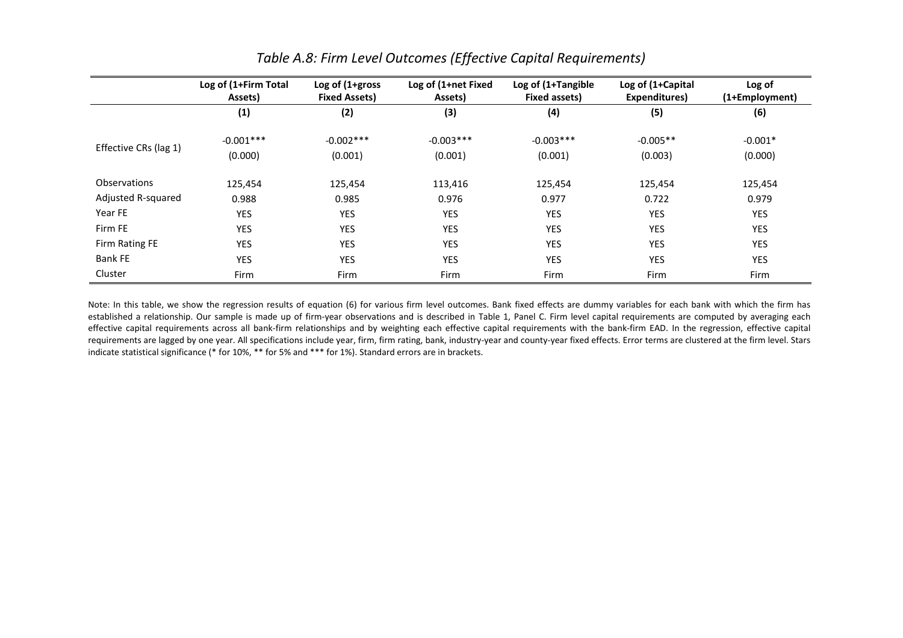|                       | Log of (1+Firm Total<br>Assets) | Log of $(1 + gross)$<br><b>Fixed Assets)</b> | Log of (1+net Fixed<br>Assets) | Log of (1+Tangible<br>Fixed assets) | Log of (1+Capital<br>Expenditures) | Log of<br>(1+Employment) |
|-----------------------|---------------------------------|----------------------------------------------|--------------------------------|-------------------------------------|------------------------------------|--------------------------|
|                       | (1)                             | (2)                                          | (3)                            | (4)                                 | (5)                                | (6)                      |
|                       | $-0.001***$                     | $-0.002***$                                  | $-0.003***$                    | $-0.003***$                         | $-0.005**$                         | $-0.001*$                |
| Effective CRs (lag 1) | (0.000)                         | (0.001)                                      | (0.001)                        | (0.001)                             | (0.003)                            | (0.000)                  |
| Observations          | 125,454                         | 125,454                                      | 113,416                        | 125,454                             | 125,454                            | 125,454                  |
| Adjusted R-squared    | 0.988                           | 0.985                                        | 0.976                          | 0.977                               | 0.722                              | 0.979                    |
| Year FE               | <b>YES</b>                      | <b>YES</b>                                   | <b>YES</b>                     | YES                                 | <b>YES</b>                         | <b>YES</b>               |
| Firm FE               | YES                             | <b>YES</b>                                   | YES                            | YES                                 | YES                                | YES                      |
| Firm Rating FE        | <b>YES</b>                      | <b>YES</b>                                   | <b>YES</b>                     | <b>YES</b>                          | <b>YES</b>                         | <b>YES</b>               |
| <b>Bank FE</b>        | <b>YES</b>                      | <b>YES</b>                                   | <b>YES</b>                     | <b>YES</b>                          | <b>YES</b>                         | <b>YES</b>               |
| Cluster               | Firm                            | Firm                                         | Firm                           | Firm                                | Firm                               | Firm                     |

# *Table A.8: Firm Level Outcomes (Effective Capital Requirements)*

Note: In this table, we show the regression results of equation (6) for various firm level outcomes. Bank fixed effects are dummy variables for each bank with which the firm has established a relationship. Our sample is made up of firm-year observations and is described in Table 1, Panel C. Firm level capital requirements are computed by averaging each effective capital requirements across all bank-firm relationships and by weighting each effective capital requirements with the bank-firm EAD. In the regression, effective capital requirements are lagged by one year. All specifications include year, firm, firm rating, bank, industry-year and county-year fixed effects. Error terms are clustered at the firm level. Stars indicate statistical significance (\* for 10%, \*\* for 5% and \*\*\* for 1%). Standard errors are in brackets.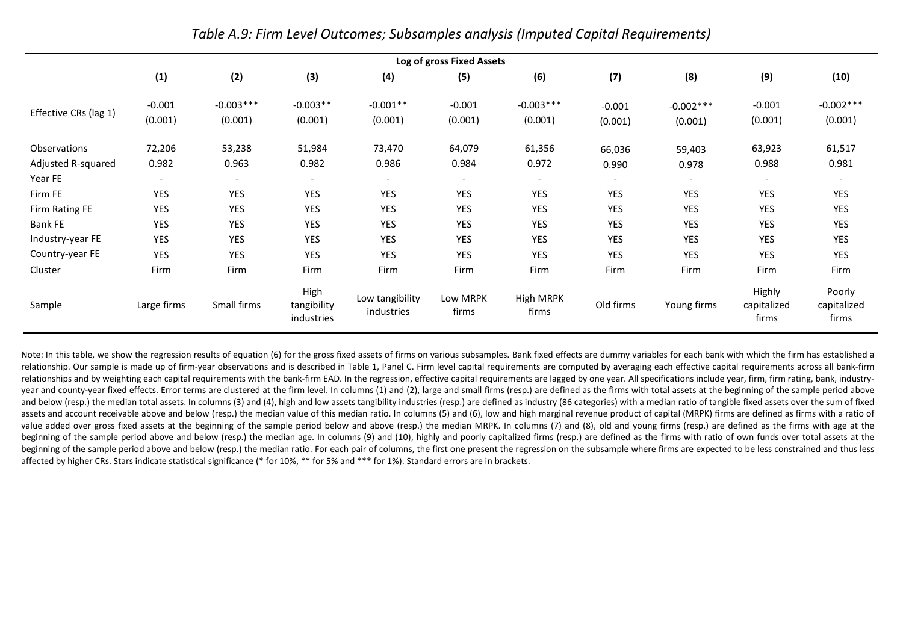|                       |                          |                          |                                   |                               | Log of gross Fixed Assets |                          |                          |                          |                                |                                |
|-----------------------|--------------------------|--------------------------|-----------------------------------|-------------------------------|---------------------------|--------------------------|--------------------------|--------------------------|--------------------------------|--------------------------------|
|                       | (1)                      | (2)                      | (3)                               | (4)                           | (5)                       | (6)                      | (7)                      | (8)                      | (9)                            | (10)                           |
| Effective CRs (lag 1) | $-0.001$<br>(0.001)      | $-0.003***$<br>(0.001)   | $-0.003**$<br>(0.001)             | $-0.001**$<br>(0.001)         | $-0.001$<br>(0.001)       | $-0.003***$<br>(0.001)   | $-0.001$<br>(0.001)      | $-0.002***$<br>(0.001)   | $-0.001$<br>(0.001)            | $-0.002***$<br>(0.001)         |
| Observations          | 72,206                   | 53,238                   | 51,984                            | 73,470                        | 64,079                    | 61,356                   | 66,036                   | 59,403                   | 63,923                         | 61,517                         |
| Adjusted R-squared    | 0.982                    | 0.963                    | 0.982                             | 0.986                         | 0.984                     | 0.972                    | 0.990                    | 0.978                    | 0.988                          | 0.981                          |
| Year FE               | $\overline{\phantom{a}}$ | $\overline{\phantom{a}}$ | $\overline{\phantom{a}}$          | $\overline{\phantom{a}}$      | $\overline{\phantom{a}}$  | $\overline{\phantom{a}}$ | $\overline{\phantom{a}}$ | $\overline{\phantom{a}}$ | $\overline{\phantom{a}}$       | $\overline{\phantom{a}}$       |
| Firm FE               | YES                      | <b>YES</b>               | YES                               | <b>YES</b>                    | YES                       | YES                      | YES                      | YES                      | YES                            | <b>YES</b>                     |
| Firm Rating FE        | YES                      | <b>YES</b>               | YES                               | <b>YES</b>                    | <b>YES</b>                | YES                      | <b>YES</b>               | <b>YES</b>               | YES                            | <b>YES</b>                     |
| <b>Bank FE</b>        | YES                      | <b>YES</b>               | YES                               | <b>YES</b>                    | YES                       | YES                      | YES                      | YES                      | YES                            | <b>YES</b>                     |
| Industry-year FE      | YES                      | <b>YES</b>               | YES                               | <b>YES</b>                    | YES                       | YES                      | <b>YES</b>               | YES                      | YES                            | <b>YES</b>                     |
| Country-year FE       | <b>YES</b>               | <b>YES</b>               | <b>YES</b>                        | <b>YES</b>                    | <b>YES</b>                | <b>YES</b>               | <b>YES</b>               | <b>YES</b>               | <b>YES</b>                     | <b>YES</b>                     |
| Cluster               | Firm                     | Firm                     | Firm                              | Firm                          | Firm                      | Firm                     | Firm                     | Firm                     | Firm                           | Firm                           |
| Sample                | Large firms              | Small firms              | High<br>tangibility<br>industries | Low tangibility<br>industries | Low MRPK<br>firms         | High MRPK<br>firms       | Old firms                | Young firms              | Highly<br>capitalized<br>firms | Poorly<br>capitalized<br>firms |

*Table A.9: Firm Level Outcomes; Subsamples analysis (Imputed Capital Requirements)* 

Note: In this table, we show the regression results of equation (6) for the gross fixed assets of firms on various subsamples. Bank fixed effects are dummy variables for each bank with which the firm has established a relationship. Our sample is made up of firm-year observations and is described in Table 1, Panel C. Firm level capital requirements are computed by averaging each effective capital requirements across all bank-firm relationships and by weighting each capital requirements with the bank-firm EAD. In the regression, effective capital requirements are lagged by one year. All specifications include year, firm, firm rating, bank, industryyear and county-year fixed effects. Error terms are clustered at the firm level. In columns (1) and (2), large and small firms (resp.) are defined as the firms with total assets at the beginning of the sample period above and below (resp.) the median total assets. In columns (3) and (4), high and low assets tangibility industries (resp.) are defined as industry (86 categories) with a median ratio of tangible fixed assets over the sum of fix assets and account receivable above and below (resp.) the median value of this median ratio. In columns (5) and (6), low and high marginal revenue product of capital (MRPK) firms are defined as firms with a ratio of value added over gross fixed assets at the beginning of the sample period below and above (resp.) the median MRPK. In columns (7) and (8), old and young firms (resp.) are defined as the firms with age at the beginning of the sample period above and below (resp.) the median age. In columns (9) and (10), highly and poorly capitalized firms (resp.) are defined as the firms with ratio of own funds over total assets at the beginning of the sample period above and below (resp.) the median ratio. For each pair of columns, the first one present the regression on the subsample where firms are expected to be less constrained and thus less affected by higher CRs. Stars indicate statistical significance (\* for 10%, \*\* for 5% and \*\*\* for 1%). Standard errors are in brackets.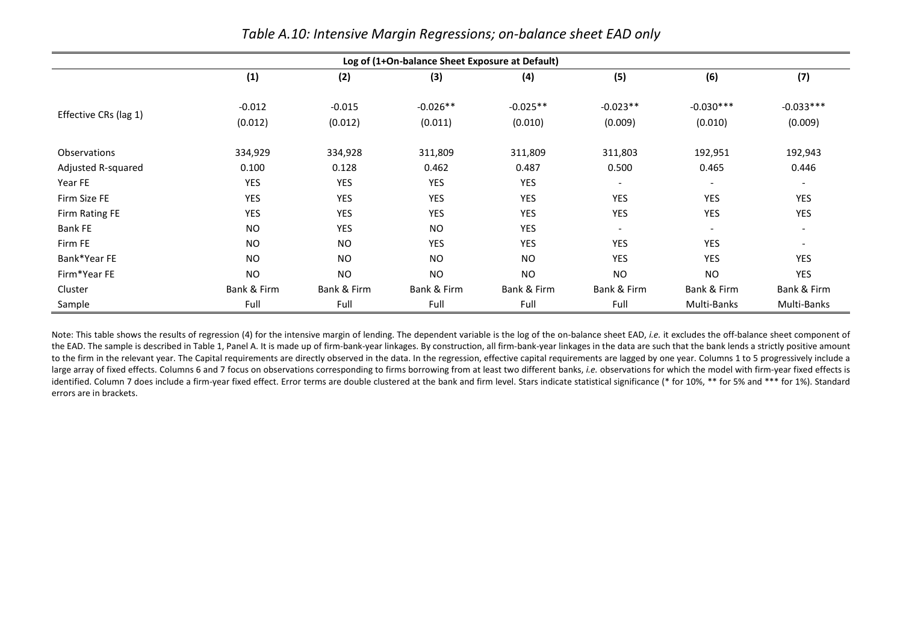|                       | Log of (1+On-balance Sheet Exposure at Default) |                     |                       |                       |                          |                          |                          |  |  |  |  |
|-----------------------|-------------------------------------------------|---------------------|-----------------------|-----------------------|--------------------------|--------------------------|--------------------------|--|--|--|--|
|                       | (1)                                             | (2)                 | (3)                   | (4)                   | (5)                      | (6)                      | (7)                      |  |  |  |  |
| Effective CRs (lag 1) | $-0.012$<br>(0.012)                             | $-0.015$<br>(0.012) | $-0.026**$<br>(0.011) | $-0.025**$<br>(0.010) | $-0.023**$<br>(0.009)    | $-0.030***$<br>(0.010)   | $-0.033***$<br>(0.009)   |  |  |  |  |
| <b>Observations</b>   | 334,929                                         | 334,928             | 311,809               | 311,809               | 311,803                  | 192,951                  | 192,943                  |  |  |  |  |
| Adjusted R-squared    | 0.100                                           | 0.128               | 0.462                 | 0.487                 | 0.500                    | 0.465                    | 0.446                    |  |  |  |  |
| Year FE               | YES                                             | YES                 | YES                   | <b>YES</b>            | $\overline{\phantom{a}}$ | $\overline{\phantom{a}}$ | $\overline{\phantom{a}}$ |  |  |  |  |
| Firm Size FE          | YES                                             | YES                 | YES                   | YES                   | YES                      | YES                      | <b>YES</b>               |  |  |  |  |
| Firm Rating FE        | YES                                             | YES                 | YES                   | <b>YES</b>            | YES                      | YES                      | <b>YES</b>               |  |  |  |  |
| <b>Bank FE</b>        | <b>NO</b>                                       | <b>YES</b>          | <b>NO</b>             | <b>YES</b>            | $\overline{\phantom{a}}$ | $\overline{\phantom{a}}$ | $\overline{\phantom{a}}$ |  |  |  |  |
| Firm FE               | <b>NO</b>                                       | <b>NO</b>           | YES                   | <b>YES</b>            | YES                      | YES                      | $\overline{\phantom{a}}$ |  |  |  |  |
| Bank*Year FE          | <b>NO</b>                                       | <b>NO</b>           | <b>NO</b>             | <b>NO</b>             | <b>YES</b>               | <b>YES</b>               | <b>YES</b>               |  |  |  |  |
| Firm*Year FE          | <b>NO</b>                                       | <b>NO</b>           | <b>NO</b>             | <b>NO</b>             | <b>NO</b>                | <b>NO</b>                | <b>YES</b>               |  |  |  |  |
| Cluster               | Bank & Firm                                     | Bank & Firm         | Bank & Firm           | Bank & Firm           | Bank & Firm              | Bank & Firm              | Bank & Firm              |  |  |  |  |
| Sample                | Full                                            | Full                | Full                  | Full                  | Full                     | Multi-Banks              | Multi-Banks              |  |  |  |  |

*Table A.10: Intensive Margin Regressions; on-balance sheet EAD only* 

Note: This table shows the results of regression (4) for the intensive margin of lending. The dependent variable is the log of the on-balance sheet EAD, *i.e.* it excludes the off-balance sheet component of the EAD. The sample is described in Table 1, Panel A. It is made up of firm-bank-year linkages. By construction, all firm-bank-year linkages in the data are such that the bank lends a strictly positive amount to the firm in the relevant year. The Capital requirements are directly observed in the data. In the regression, effective capital requirements are lagged by one year. Columns 1 to 5 progressively include a large array of fixed effects. Columns 6 and 7 focus on observations corresponding to firms borrowing from at least two different banks, *i.e.* observations for which the model with firm-year fixed effects is identified. Column 7 does include a firm-year fixed effect. Error terms are double clustered at the bank and firm level. Stars indicate statistical significance (\* for 10%, \*\* for 5% and \*\*\* for 1%). Standard errors are in brackets.